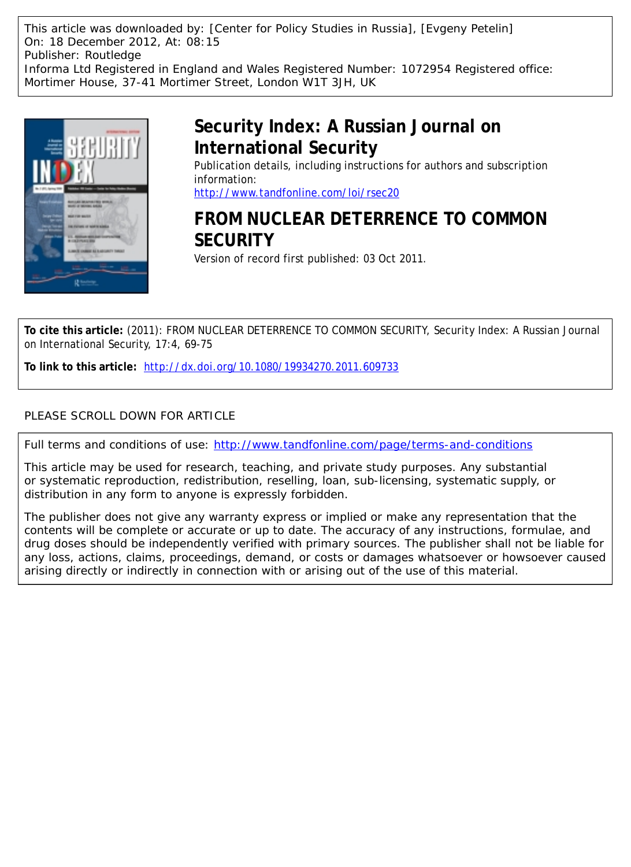This article was downloaded by: [Center for Policy Studies in Russia], [Evgeny Petelin] On: 18 December 2012, At: 08:15 Publisher: Routledge Informa Ltd Registered in England and Wales Registered Number: 1072954 Registered office: Mortimer House, 37-41 Mortimer Street, London W1T 3JH, UK



# **Security Index: A Russian Journal on International Security**

Publication details, including instructions for authors and subscription information:

<http://www.tandfonline.com/loi/rsec20>

# **FROM NUCLEAR DETERRENCE TO COMMON SECURITY**

Version of record first published: 03 Oct 2011.

**To cite this article:** (2011): FROM NUCLEAR DETERRENCE TO COMMON SECURITY, Security Index: A Russian Journal on International Security, 17:4, 69-75

**To link to this article:** <http://dx.doi.org/10.1080/19934270.2011.609733>

# PLEASE SCROLL DOWN FOR ARTICLE

Full terms and conditions of use:<http://www.tandfonline.com/page/terms-and-conditions>

This article may be used for research, teaching, and private study purposes. Any substantial or systematic reproduction, redistribution, reselling, loan, sub-licensing, systematic supply, or distribution in any form to anyone is expressly forbidden.

The publisher does not give any warranty express or implied or make any representation that the contents will be complete or accurate or up to date. The accuracy of any instructions, formulae, and drug doses should be independently verified with primary sources. The publisher shall not be liable for any loss, actions, claims, proceedings, demand, or costs or damages whatsoever or howsoever caused arising directly or indirectly in connection with or arising out of the use of this material.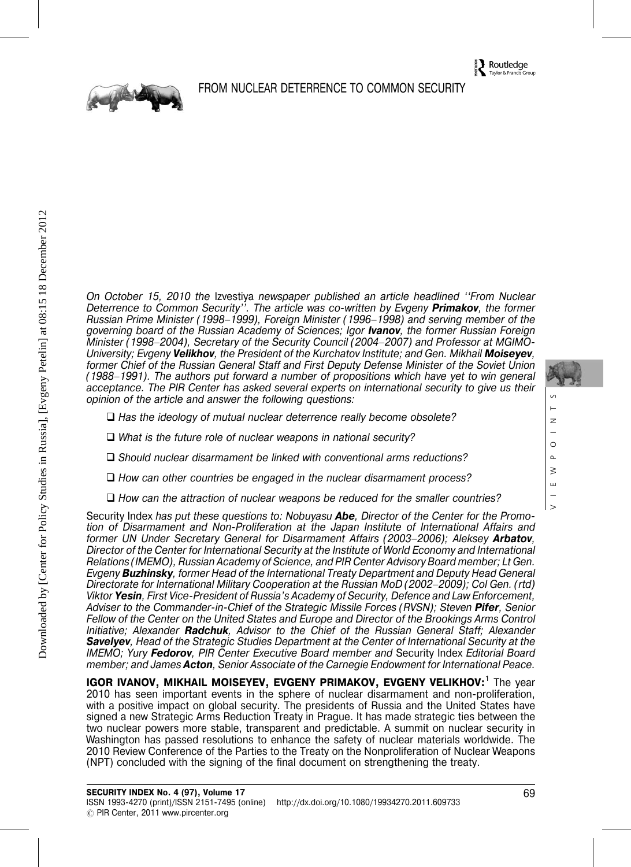On October 15, 2010 the Izvestiya newspaper published an article headlined ''From Nuclear Deterrence to Common Security''. The article was co-written by Evgeny **Primakov**, the former Russian Prime Minister (1998–1999), Foreign Minister (1996–1998) and serving member of the governing board of the Russian Academy of Sciences; Igor Ivanov, the former Russian Foreign Minister (1998-2004), Secretary of the Security Council (2004-2007) and Professor at MGIMO-University; Evgeny Velikhov, the President of the Kurchatov Institute; and Gen. Mikhail Moiseyev, former Chief of the Russian General Staff and First Deputy Defense Minister of the Soviet Union (1988–1991). The authors put forward a number of propositions which have yet to win general acceptance. The PIR Center has asked several experts on international security to give us their opinion of the article and answer the following questions:

FROM NUCLEAR DETERRENCE TO COMMON SECURITY

 $\Box$  Has the ideology of mutual nuclear deterrence really become obsolete?

 $\Box$  What is the future role of nuclear weapons in national security?

 $\square$  Should nuclear disarmament be linked with conventional arms reductions?

 $\Box$  How can other countries be engaged in the nuclear disarmament process?

 $\Box$  How can the attraction of nuclear weapons be reduced for the smaller countries?

Security Index has put these questions to: Nobuyasu Abe, Director of the Center for the Promotion of Disarmament and Non-Proliferation at the Japan Institute of International Affairs and former UN Under Secretary General for Disarmament Affairs (2003-2006); Aleksey Arbatov, Director of the Center for International Security at the Institute of World Economy and International Relations (IMEMO), Russian Academy of Science, and PIR Center Advisory Board member; Lt Gen. Evgeny **Buzhinsky**, former Head of the International Treaty Department and Deputy Head General Directorate for International Military Cooperation at the Russian MoD (2002–2009); Col Gen. (rtd) Viktor Yesin, First Vice-President of Russia's Academy of Security, Defence and Law Enforcement, Adviser to the Commander-in-Chief of the Strategic Missile Forces (RVSN); Steven Pifer, Senior Fellow of the Center on the United States and Europe and Director of the Brookings Arms Control Initiative; Alexander Radchuk, Advisor to the Chief of the Russian General Staff; Alexander Savelyev, Head of the Strategic Studies Department at the Center of International Security at the IMEMO; Yury Fedorov, PIR Center Executive Board member and Security Index Editorial Board member; and James Acton, Senior Associate of the Carnegie Endowment for International Peace.

IGOR IVANOV, MIKHAIL MOISEYEV, EVGENY PRIMAKOV, EVGENY VELIKHOV:<sup>1</sup> The year 2010 has seen important events in the sphere of nuclear disarmament and non-proliferation, with a positive impact on global security. The presidents of Russia and the United States have signed a new Strategic Arms Reduction Treaty in Prague. It has made strategic ties between the two nuclear powers more stable, transparent and predictable. A summit on nuclear security in Washington has passed resolutions to enhance the safety of nuclear materials worldwide. The 2010 Review Conference of the Parties to the Treaty on the Nonproliferation of Nuclear Weapons (NPT) concluded with the signing of the final document on strengthening the treaty.



 $\circ$  $\overline{a}$  $\overline{z}$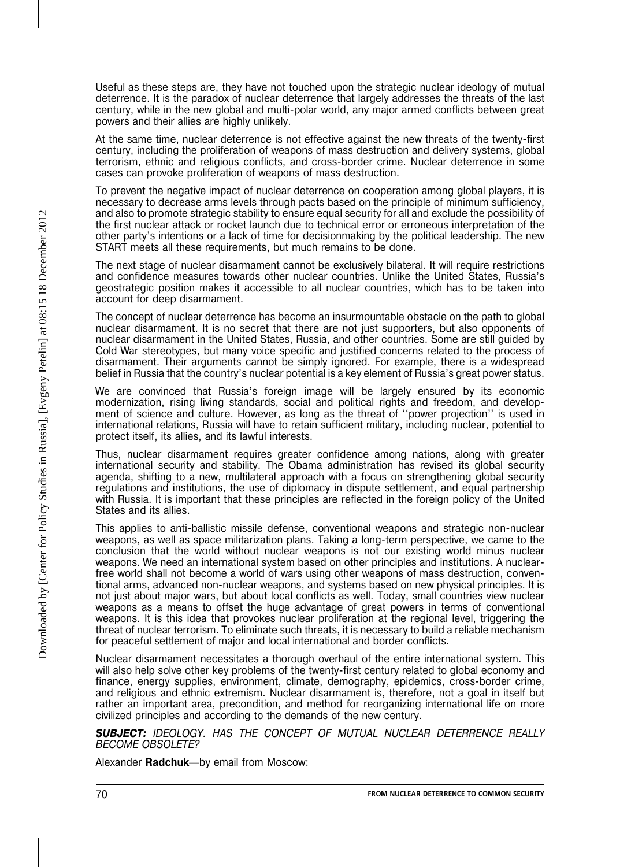Useful as these steps are, they have not touched upon the strategic nuclear ideology of mutual deterrence. It is the paradox of nuclear deterrence that largely addresses the threats of the last century, while in the new global and multi-polar world, any major armed conflicts between great powers and their allies are highly unlikely.

At the same time, nuclear deterrence is not effective against the new threats of the twenty-first century, including the proliferation of weapons of mass destruction and delivery systems, global terrorism, ethnic and religious conflicts, and cross-border crime. Nuclear deterrence in some cases can provoke proliferation of weapons of mass destruction.

To prevent the negative impact of nuclear deterrence on cooperation among global players, it is necessary to decrease arms levels through pacts based on the principle of minimum sufficiency, and also to promote strategic stability to ensure equal security for all and exclude the possibility of the first nuclear attack or rocket launch due to technical error or erroneous interpretation of the other party's intentions or a lack of time for decisionmaking by the political leadership. The new START meets all these requirements, but much remains to be done.

The next stage of nuclear disarmament cannot be exclusively bilateral. It will require restrictions and confidence measures towards other nuclear countries. Unlike the United States, Russia's geostrategic position makes it accessible to all nuclear countries, which has to be taken into account for deep disarmament.

The concept of nuclear deterrence has become an insurmountable obstacle on the path to global nuclear disarmament. It is no secret that there are not just supporters, but also opponents of nuclear disarmament in the United States, Russia, and other countries. Some are still guided by Cold War stereotypes, but many voice specific and justified concerns related to the process of disarmament. Their arguments cannot be simply ignored. For example, there is a widespread belief in Russia that the country's nuclear potential is a key element of Russia's great power status.

We are convinced that Russia's foreign image will be largely ensured by its economic modernization, rising living standards, social and political rights and freedom, and development of science and culture. However, as long as the threat of ''power projection'' is used in international relations, Russia will have to retain sufficient military, including nuclear, potential to protect itself, its allies, and its lawful interests.

Thus, nuclear disarmament requires greater confidence among nations, along with greater international security and stability. The Obama administration has revised its global security agenda, shifting to a new, multilateral approach with a focus on strengthening global security regulations and institutions, the use of diplomacy in dispute settlement, and equal partnership with Russia. It is important that these principles are reflected in the foreign policy of the United States and its allies.

This applies to anti-ballistic missile defense, conventional weapons and strategic non-nuclear weapons, as well as space militarization plans. Taking a long-term perspective, we came to the conclusion that the world without nuclear weapons is not our existing world minus nuclear weapons. We need an international system based on other principles and institutions. A nuclearfree world shall not become a world of wars using other weapons of mass destruction, conventional arms, advanced non-nuclear weapons, and systems based on new physical principles. It is not just about major wars, but about local conflicts as well. Today, small countries view nuclear weapons as a means to offset the huge advantage of great powers in terms of conventional weapons. It is this idea that provokes nuclear proliferation at the regional level, triggering the threat of nuclear terrorism. To eliminate such threats, it is necessary to build a reliable mechanism for peaceful settlement of major and local international and border conflicts.

Nuclear disarmament necessitates a thorough overhaul of the entire international system. This will also help solve other key problems of the twenty-first century related to global economy and finance, energy supplies, environment, climate, demography, epidemics, cross-border crime, and religious and ethnic extremism. Nuclear disarmament is, therefore, not a goal in itself but rather an important area, precondition, and method for reorganizing international life on more civilized principles and according to the demands of the new century.

SUBJECT: IDEOLOGY. HAS THE CONCEPT OF MUTUAL NUCLEAR DETERRENCE REALLY BECOME OBSOLETE?

Alexander Radchuk-by email from Moscow: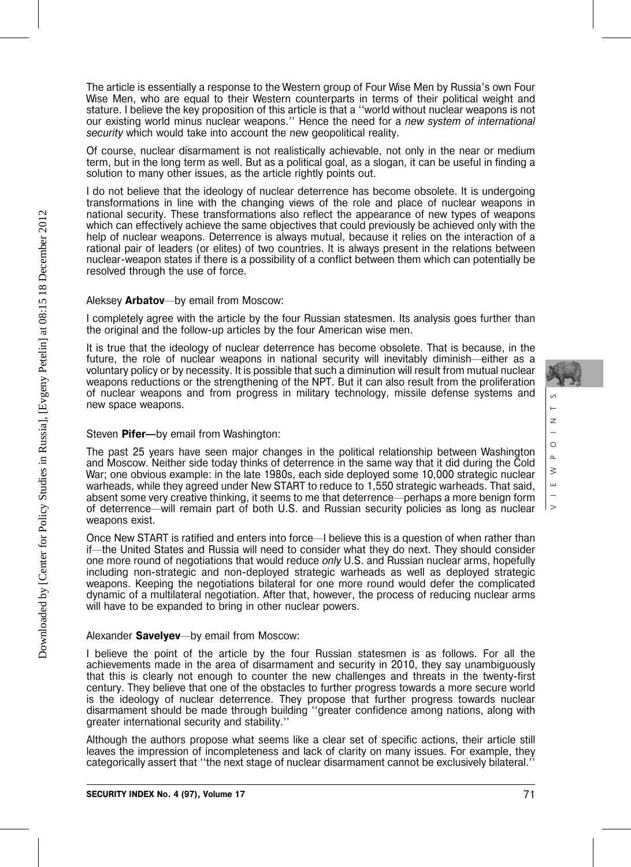The article is essentially a response to the Western group of Four Wise Men by Russia's own Four Wise Men, who are equal to their Western counterparts in terms of their political weight and stature. I believe the key proposition of this article is that a ''world without nuclear weapons is not our existing world minus nuclear weapons.'' Hence the need for a new system of international security which would take into account the new geopolitical reality.

Of course, nuclear disarmament is not realistically achievable, not only in the near or medium term, but in the long term as well. But as a political goal, as a slogan, it can be useful in finding a solution to many other issues, as the article rightly points out.

I do not believe that the ideology of nuclear deterrence has become obsolete. It is undergoing transformations in line with the changing views of the role and place of nuclear weapons in national security. These transformations also reflect the appearance of new types of weapons which can effectively achieve the same objectives that could previously be achieved only with the help of nuclear weapons. Deterrence is always mutual, because it relies on the interaction of a rational pair of leaders (or elites) of two countries. It is always present in the relations between nuclear-weapon states if there is a possibility of a conflict between them which can potentially be resolved through the use of force.

#### Aleksey **Arbatov**—by email from Moscow:

I completely agree with the article by the four Russian statesmen. Its analysis goes further than the original and the follow-up articles by the four American wise men.

It is true that the ideology of nuclear deterrence has become obsolete. That is because, in the future, the role of nuclear weapons in national security will inevitably diminish—either as a voluntary policy or by necessity. It is possible that such a diminution will result from mutual nuclear weapons reductions or the strengthening of the NPT. But it can also result from the proliferation of nuclear weapons and from progress in military technology, missile defense systems and new space weapons.

#### Steven Pifer-by email from Washington:

The past 25 years have seen major changes in the political relationship between Washington and Moscow. Neither side today thinks of deterrence in the same way that it did during the Cold War; one obvious example: in the late 1980s, each side deployed some 10,000 strategic nuclear warheads, while they agreed under New START to reduce to 1,550 strategic warheads. That said, absent some very creative thinking, it seems to me that deterrence—perhaps a more benign form of deterrence—will remain part of both U.S. and Russian security policies as long as nuclear weapons exist.

Once New START is ratified and enters into force—I believe this is a question of when rather than if—the United States and Russia will need to consider what they do next. They should consider one more round of negotiations that would reduce only U.S. and Russian nuclear arms, hopefully including non-strategic and non-deployed strategic warheads as well as deployed strategic weapons. Keeping the negotiations bilateral for one more round would defer the complicated dynamic of a multilateral negotiation. After that, however, the process of reducing nuclear arms will have to be expanded to bring in other nuclear powers.

# Alexander Savelyev-by email from Moscow:

I believe the point of the article by the four Russian statesmen is as follows. For all the achievements made in the area of disarmament and security in 2010, they say unambiguously that this is clearly not enough to counter the new challenges and threats in the twenty-first century. They believe that one of the obstacles to further progress towards a more secure world is the ideology of nuclear deterrence. They propose that further progress towards nuclear disarmament should be made through building ''greater confidence among nations, along with greater international security and stability.''

Although the authors propose what seems like a clear set of specific actions, their article still leaves the impression of incompleteness and lack of clarity on many issues. For example, they categorically assert that ''the next stage of nuclear disarmament cannot be exclusively bilateral.''

Downloaded by [Center for Policy Studies in Russia], [Evgeny Petelin] at 08:15 18 December 2012 Downloaded by [Center for Policy Studies in Russia], [Evgeny Petelin] at 08:15 18 December 2012

S L N L N A N N L N

 $\circ$  $\vdash$  $\overline{z}$  $\frac{1}{2}$  $\circ$  $\Delta$  $\geq$ Ш  $\frac{1}{2}$  $\geq$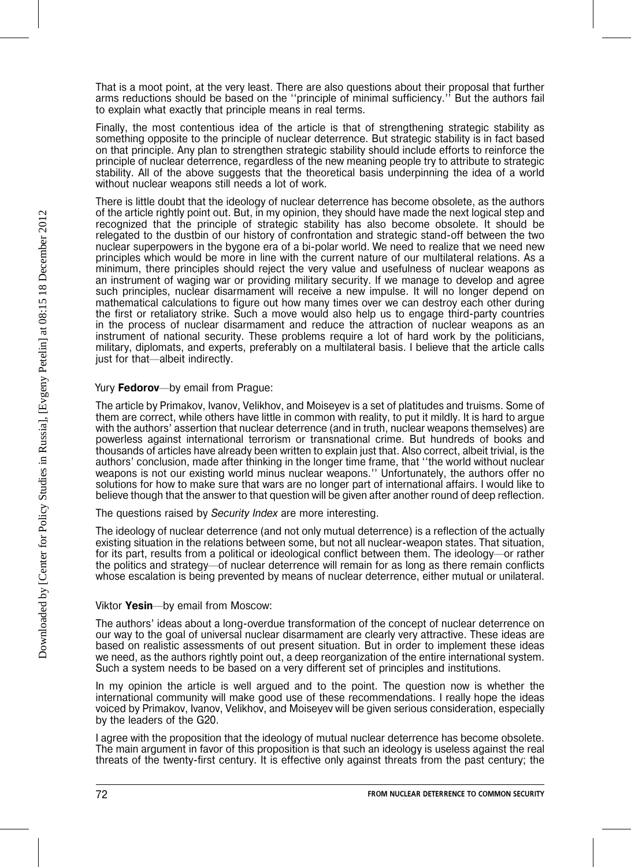That is a moot point, at the very least. There are also questions about their proposal that further arms reductions should be based on the ''principle of minimal sufficiency.'' But the authors fail to explain what exactly that principle means in real terms.

Finally, the most contentious idea of the article is that of strengthening strategic stability as something opposite to the principle of nuclear deterrence. But strategic stability is in fact based on that principle. Any plan to strengthen strategic stability should include efforts to reinforce the principle of nuclear deterrence, regardless of the new meaning people try to attribute to strategic stability. All of the above suggests that the theoretical basis underpinning the idea of a world without nuclear weapons still needs a lot of work.

There is little doubt that the ideology of nuclear deterrence has become obsolete, as the authors of the article rightly point out. But, in my opinion, they should have made the next logical step and recognized that the principle of strategic stability has also become obsolete. It should be relegated to the dustbin of our history of confrontation and strategic stand-off between the two nuclear superpowers in the bygone era of a bi-polar world. We need to realize that we need new principles which would be more in line with the current nature of our multilateral relations. As a minimum, there principles should reject the very value and usefulness of nuclear weapons as an instrument of waging war or providing military security. If we manage to develop and agree such principles, nuclear disarmament will receive a new impulse. It will no longer depend on mathematical calculations to figure out how many times over we can destroy each other during the first or retaliatory strike. Such a move would also help us to engage third-party countries in the process of nuclear disarmament and reduce the attraction of nuclear weapons as an instrument of national security. These problems require a lot of hard work by the politicians, military, diplomats, and experts, preferably on a multilateral basis. I believe that the article calls just for that—albeit indirectly.

# Yury Fedorov-by email from Prague:

The article by Primakov, Ivanov, Velikhov, and Moiseyev is a set of platitudes and truisms. Some of them are correct, while others have little in common with reality, to put it mildly. It is hard to argue with the authors' assertion that nuclear deterrence (and in truth, nuclear weapons themselves) are powerless against international terrorism or transnational crime. But hundreds of books and thousands of articles have already been written to explain just that. Also correct, albeit trivial, is the authors' conclusion, made after thinking in the longer time frame, that ''the world without nuclear weapons is not our existing world minus nuclear weapons.'' Unfortunately, the authors offer no solutions for how to make sure that wars are no longer part of international affairs. I would like to believe though that the answer to that question will be given after another round of deep reflection.

The questions raised by Security Index are more interesting.

The ideology of nuclear deterrence (and not only mutual deterrence) is a reflection of the actually existing situation in the relations between some, but not all nuclear-weapon states. That situation, for its part, results from a political or ideological conflict between them. The ideology—or rather the politics and strategy-of nuclear deterrence will remain for as long as there remain conflicts whose escalation is being prevented by means of nuclear deterrence, either mutual or unilateral.

#### Viktor Yesin-by email from Moscow:

The authors' ideas about a long-overdue transformation of the concept of nuclear deterrence on our way to the goal of universal nuclear disarmament are clearly very attractive. These ideas are based on realistic assessments of out present situation. But in order to implement these ideas we need, as the authors rightly point out, a deep reorganization of the entire international system. Such a system needs to be based on a very different set of principles and institutions.

In my opinion the article is well argued and to the point. The question now is whether the international community will make good use of these recommendations. I really hope the ideas voiced by Primakov, Ivanov, Velikhov, and Moiseyev will be given serious consideration, especially by the leaders of the G20.

I agree with the proposition that the ideology of mutual nuclear deterrence has become obsolete. The main argument in favor of this proposition is that such an ideology is useless against the real threats of the twenty-first century. It is effective only against threats from the past century; the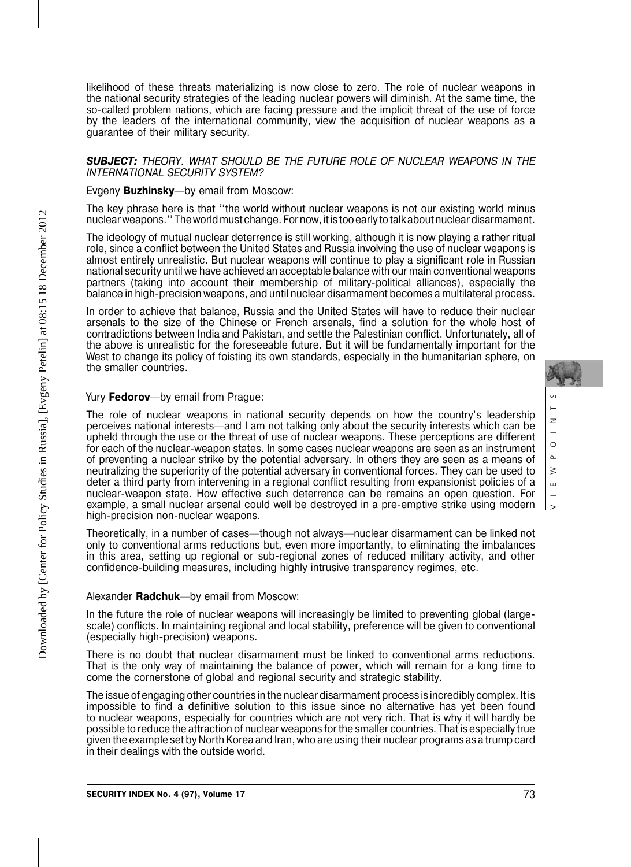likelihood of these threats materializing is now close to zero. The role of nuclear weapons in the national security strategies of the leading nuclear powers will diminish. At the same time, the so-called problem nations, which are facing pressure and the implicit threat of the use of force by the leaders of the international community, view the acquisition of nuclear weapons as a guarantee of their military security.

#### SUBJECT: THEORY. WHAT SHOULD BE THE FUTURE ROLE OF NUCLEAR WEAPONS IN THE INTERNATIONAL SECURITY SYSTEM?

#### Evgeny **Buzhinsky**-by email from Moscow:

The key phrase here is that ''the world without nuclear weapons is not our existing world minus nuclear weapons.''The world must change. For now, it is too early to talk about nuclear disarmament.

The ideology of mutual nuclear deterrence is still working, although it is now playing a rather ritual role, since a conflict between the United States and Russia involving the use of nuclear weapons is almost entirely unrealistic. But nuclear weapons will continue to play a significant role in Russian national security until we have achieved an acceptable balance with our main conventional weapons partners (taking into account their membership of military-political alliances), especially the balance in high-precision weapons, and until nuclear disarmament becomes a multilateral process.

In order to achieve that balance, Russia and the United States will have to reduce their nuclear arsenals to the size of the Chinese or French arsenals, find a solution for the whole host of contradictions between India and Pakistan, and settle the Palestinian conflict. Unfortunately, all of the above is unrealistic for the foreseeable future. But it will be fundamentally important for the West to change its policy of foisting its own standards, especially in the humanitarian sphere, on the smaller countries.

#### Yury Fedorov-by email from Prague:

The role of nuclear weapons in national security depends on how the country's leadership perceives national interests—and I am not talking only about the security interests which can be upheld through the use or the threat of use of nuclear weapons. These perceptions are different for each of the nuclear-weapon states. In some cases nuclear weapons are seen as an instrument of preventing a nuclear strike by the potential adversary. In others they are seen as a means of neutralizing the superiority of the potential adversary in conventional forces. They can be used to deter a third party from intervening in a regional conflict resulting from expansionist policies of a nuclear-weapon state. How effective such deterrence can be remains an open question. For example, a small nuclear arsenal could well be destroyed in a pre-emptive strike using modern high-precision non-nuclear weapons.

Theoretically, in a number of cases—though not always—nuclear disarmament can be linked not only to conventional arms reductions but, even more importantly, to eliminating the imbalances in this area, setting up regional or sub-regional zones of reduced military activity, and other confidence-building measures, including highly intrusive transparency regimes, etc.

#### Alexander Radchuk-by email from Moscow:

In the future the role of nuclear weapons will increasingly be limited to preventing global (largescale) conflicts. In maintaining regional and local stability, preference will be given to conventional (especially high-precision) weapons.

There is no doubt that nuclear disarmament must be linked to conventional arms reductions. That is the only way of maintaining the balance of power, which will remain for a long time to come the cornerstone of global and regional security and strategic stability.

The issue of engaging other countries in the nuclear disarmament process is incredibly complex. It is impossible to find a definitive solution to this issue since no alternative has yet been found to nuclear weapons, especially for countries which are not very rich. That is why it will hardly be possible to reduce the attraction of nuclear weapons for the smaller countries. That is especially true given the example set by North Korea and Iran, who are using their nuclear programs as a trump card in their dealings with the outside world.

S L N L N A N N L N

 $\circ$  $\overline{a}$  $\overline{z}$  $\overline{\phantom{0}}$  $\circ$  $\Delta$  $\geq$  $\bar{\omega}$  $\equiv$  $\vert$  >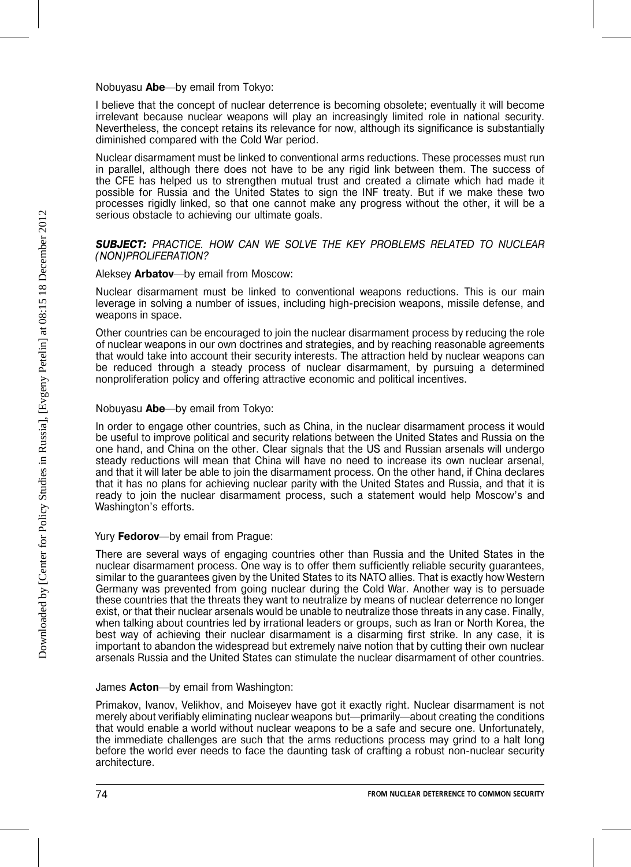Nobuyasu Abe-by email from Tokyo:

I believe that the concept of nuclear deterrence is becoming obsolete; eventually it will become irrelevant because nuclear weapons will play an increasingly limited role in national security. Nevertheless, the concept retains its relevance for now, although its significance is substantially diminished compared with the Cold War period.

Nuclear disarmament must be linked to conventional arms reductions. These processes must run in parallel, although there does not have to be any rigid link between them. The success of the CFE has helped us to strengthen mutual trust and created a climate which had made it possible for Russia and the United States to sign the INF treaty. But if we make these two processes rigidly linked, so that one cannot make any progress without the other, it will be a serious obstacle to achieving our ultimate goals.

#### SUBJECT: PRACTICE. HOW CAN WE SOLVE THE KEY PROBLEMS RELATED TO NUCLEAR (NON)PROLIFERATION?

# Aleksey **Arbatov**-by email from Moscow:

Nuclear disarmament must be linked to conventional weapons reductions. This is our main leverage in solving a number of issues, including high-precision weapons, missile defense, and weapons in space.

Other countries can be encouraged to join the nuclear disarmament process by reducing the role of nuclear weapons in our own doctrines and strategies, and by reaching reasonable agreements that would take into account their security interests. The attraction held by nuclear weapons can be reduced through a steady process of nuclear disarmament, by pursuing a determined nonproliferation policy and offering attractive economic and political incentives.

# Nobuyasu Abe-by email from Tokyo:

In order to engage other countries, such as China, in the nuclear disarmament process it would be useful to improve political and security relations between the United States and Russia on the one hand, and China on the other. Clear signals that the US and Russian arsenals will undergo steady reductions will mean that China will have no need to increase its own nuclear arsenal, and that it will later be able to join the disarmament process. On the other hand, if China declares that it has no plans for achieving nuclear parity with the United States and Russia, and that it is ready to join the nuclear disarmament process, such a statement would help Moscow's and Washington's efforts.

# Yury Fedorov-by email from Prague:

There are several ways of engaging countries other than Russia and the United States in the nuclear disarmament process. One way is to offer them sufficiently reliable security guarantees, similar to the guarantees given by the United States to its NATO allies. That is exactly how Western Germany was prevented from going nuclear during the Cold War. Another way is to persuade these countries that the threats they want to neutralize by means of nuclear deterrence no longer exist, or that their nuclear arsenals would be unable to neutralize those threats in any case. Finally, when talking about countries led by irrational leaders or groups, such as Iran or North Korea, the best way of achieving their nuclear disarmament is a disarming first strike. In any case, it is important to abandon the widespread but extremely naive notion that by cutting their own nuclear arsenals Russia and the United States can stimulate the nuclear disarmament of other countries.

# James Acton-by email from Washington:

Primakov, Ivanov, Velikhov, and Moiseyev have got it exactly right. Nuclear disarmament is not merely about verifiably eliminating nuclear weapons but—primarily—about creating the conditions that would enable a world without nuclear weapons to be a safe and secure one. Unfortunately, the immediate challenges are such that the arms reductions process may grind to a halt long before the world ever needs to face the daunting task of crafting a robust non-nuclear security architecture.